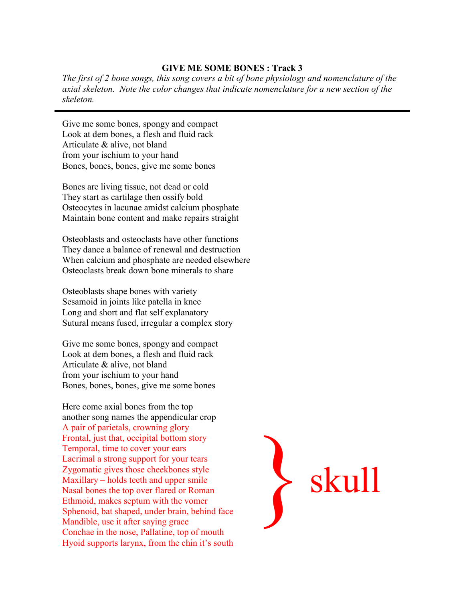## **GIVE ME SOME BONES : Track 3**

*The first of 2 bone songs, this song covers a bit of bone physiology and nomenclature of the axial skeleton. Note the color changes that indicate nomenclature for a new section of the skeleton.*

Give me some bones, spongy and compact Look at dem bones, a flesh and fluid rack Articulate & alive, not bland from your ischium to your hand Bones, bones, bones, give me some bones

Bones are living tissue, not dead or cold They start as cartilage then ossify bold Osteocytes in lacunae amidst calcium phosphate Maintain bone content and make repairs straight

Osteoblasts and osteoclasts have other functions They dance a balance of renewal and destruction When calcium and phosphate are needed elsewhere Osteoclasts break down bone minerals to share

Osteoblasts shape bones with variety Sesamoid in joints like patella in knee Long and short and flat self explanatory Sutural means fused, irregular a complex story

Give me some bones, spongy and compact Look at dem bones, a flesh and fluid rack Articulate & alive, not bland from your ischium to your hand Bones, bones, bones, give me some bones

Here come axial bones from the top another song names the appendicular crop A pair of parietals, crowning glory Frontal, just that, occipital bottom story Temporal, time to cover your ears Lacrimal a strong support for your tears Zygomatic gives those cheekbones style Maxillary – holds teeth and upper smile Nasal bones the top over flared or Roman Ethmoid, makes septum with the vomer Sphenoid, bat shaped, under brain, behind face Mandible, use it after saying grace Conchae in the nose, Pallatine, top of mouth Hyoid supports larynx, from the chin it's south